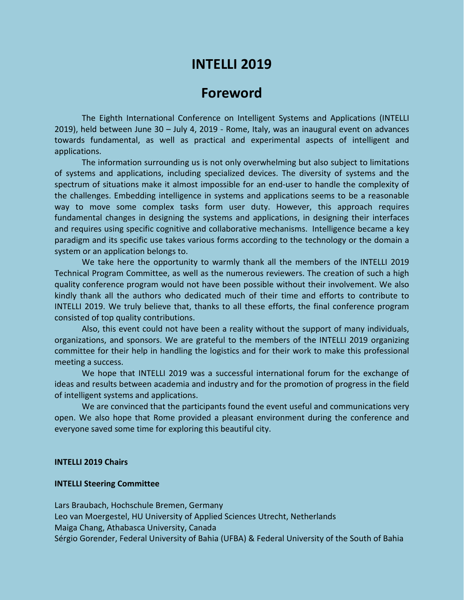# **INTELLI 2019**

## **Foreword**

The Eighth International Conference on Intelligent Systems and Applications (INTELLI 2019), held between June 30 – July 4, 2019 - Rome, Italy, was an inaugural event on advances towards fundamental, as well as practical and experimental aspects of intelligent and applications.

The information surrounding us is not only overwhelming but also subject to limitations of systems and applications, including specialized devices. The diversity of systems and the spectrum of situations make it almost impossible for an end-user to handle the complexity of the challenges. Embedding intelligence in systems and applications seems to be a reasonable way to move some complex tasks form user duty. However, this approach requires fundamental changes in designing the systems and applications, in designing their interfaces and requires using specific cognitive and collaborative mechanisms. Intelligence became a key paradigm and its specific use takes various forms according to the technology or the domain a system or an application belongs to.

We take here the opportunity to warmly thank all the members of the INTELLI 2019 Technical Program Committee, as well as the numerous reviewers. The creation of such a high quality conference program would not have been possible without their involvement. We also kindly thank all the authors who dedicated much of their time and efforts to contribute to INTELLI 2019. We truly believe that, thanks to all these efforts, the final conference program consisted of top quality contributions.

Also, this event could not have been a reality without the support of many individuals, organizations, and sponsors. We are grateful to the members of the INTELLI 2019 organizing committee for their help in handling the logistics and for their work to make this professional meeting a success.

We hope that INTELLI 2019 was a successful international forum for the exchange of ideas and results between academia and industry and for the promotion of progress in the field of intelligent systems and applications.

We are convinced that the participants found the event useful and communications very open. We also hope that Rome provided a pleasant environment during the conference and everyone saved some time for exploring this beautiful city.

#### **INTELLI 2019 Chairs**

#### **INTELLI Steering Committee**

Lars Braubach, Hochschule Bremen, Germany Leo van Moergestel, HU University of Applied Sciences Utrecht, Netherlands Maiga Chang, Athabasca University, Canada Sérgio Gorender, Federal University of Bahia (UFBA) & Federal University of the South of Bahia